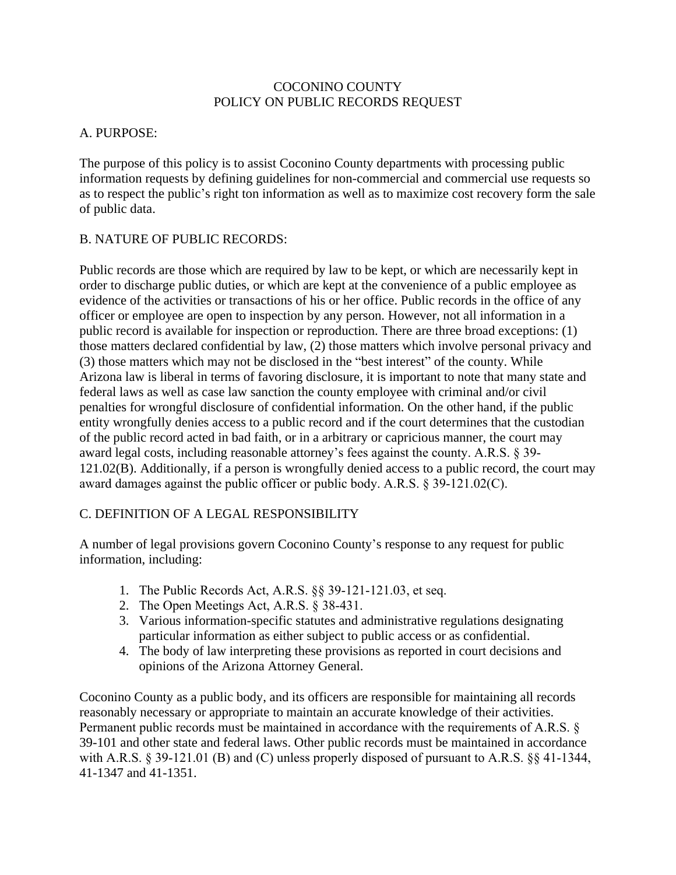### COCONINO COUNTY POLICY ON PUBLIC RECORDS REQUEST

### A. PURPOSE:

The purpose of this policy is to assist Coconino County departments with processing public information requests by defining guidelines for non-commercial and commercial use requests so as to respect the public's right ton information as well as to maximize cost recovery form the sale of public data.

## B. NATURE OF PUBLIC RECORDS:

Public records are those which are required by law to be kept, or which are necessarily kept in order to discharge public duties, or which are kept at the convenience of a public employee as evidence of the activities or transactions of his or her office. Public records in the office of any officer or employee are open to inspection by any person. However, not all information in a public record is available for inspection or reproduction. There are three broad exceptions: (1) those matters declared confidential by law, (2) those matters which involve personal privacy and (3) those matters which may not be disclosed in the "best interest" of the county. While Arizona law is liberal in terms of favoring disclosure, it is important to note that many state and federal laws as well as case law sanction the county employee with criminal and/or civil penalties for wrongful disclosure of confidential information. On the other hand, if the public entity wrongfully denies access to a public record and if the court determines that the custodian of the public record acted in bad faith, or in a arbitrary or capricious manner, the court may award legal costs, including reasonable attorney's fees against the county. A.R.S. § 39- 121.02(B). Additionally, if a person is wrongfully denied access to a public record, the court may award damages against the public officer or public body. A.R.S. § 39-121.02(C).

## C. DEFINITION OF A LEGAL RESPONSIBILITY

A number of legal provisions govern Coconino County's response to any request for public information, including:

- 1. The Public Records Act, A.R.S. §§ 39-121-121.03, et seq.
- 2. The Open Meetings Act, A.R.S. § 38-431.
- 3. Various information-specific statutes and administrative regulations designating particular information as either subject to public access or as confidential.
- 4. The body of law interpreting these provisions as reported in court decisions and opinions of the Arizona Attorney General.

Coconino County as a public body, and its officers are responsible for maintaining all records reasonably necessary or appropriate to maintain an accurate knowledge of their activities. Permanent public records must be maintained in accordance with the requirements of A.R.S. § 39-101 and other state and federal laws. Other public records must be maintained in accordance with A.R.S. § 39-121.01 (B) and (C) unless properly disposed of pursuant to A.R.S. §§ 41-1344, 41-1347 and 41-1351.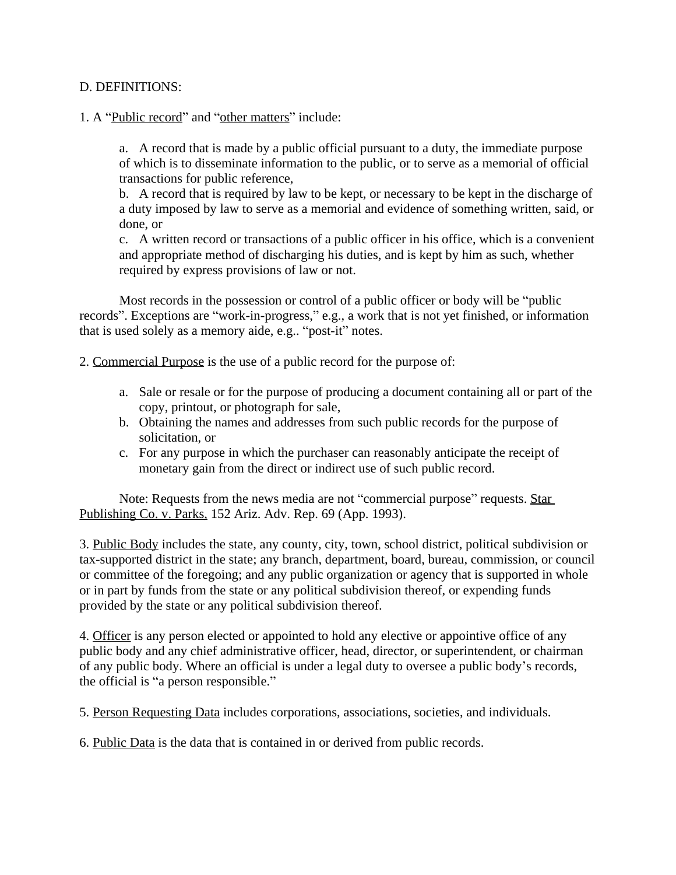#### D. DEFINITIONS:

#### 1. A "Public record" and "other matters" include:

a. A record that is made by a public official pursuant to a duty, the immediate purpose of which is to disseminate information to the public, or to serve as a memorial of official transactions for public reference,

b. A record that is required by law to be kept, or necessary to be kept in the discharge of a duty imposed by law to serve as a memorial and evidence of something written, said, or done, or

c. A written record or transactions of a public officer in his office, which is a convenient and appropriate method of discharging his duties, and is kept by him as such, whether required by express provisions of law or not.

Most records in the possession or control of a public officer or body will be "public records". Exceptions are "work-in-progress," e.g., a work that is not yet finished, or information that is used solely as a memory aide, e.g.. "post-it" notes.

2. Commercial Purpose is the use of a public record for the purpose of:

- a. Sale or resale or for the purpose of producing a document containing all or part of the copy, printout, or photograph for sale,
- b. Obtaining the names and addresses from such public records for the purpose of solicitation, or
- c. For any purpose in which the purchaser can reasonably anticipate the receipt of monetary gain from the direct or indirect use of such public record.

Note: Requests from the news media are not "commercial purpose" requests. Star Publishing Co. v. Parks, 152 Ariz. Adv. Rep. 69 (App. 1993).

3. Public Body includes the state, any county, city, town, school district, political subdivision or tax-supported district in the state; any branch, department, board, bureau, commission, or council or committee of the foregoing; and any public organization or agency that is supported in whole or in part by funds from the state or any political subdivision thereof, or expending funds provided by the state or any political subdivision thereof.

4. Officer is any person elected or appointed to hold any elective or appointive office of any public body and any chief administrative officer, head, director, or superintendent, or chairman of any public body. Where an official is under a legal duty to oversee a public body's records, the official is "a person responsible."

5. Person Requesting Data includes corporations, associations, societies, and individuals.

6. Public Data is the data that is contained in or derived from public records.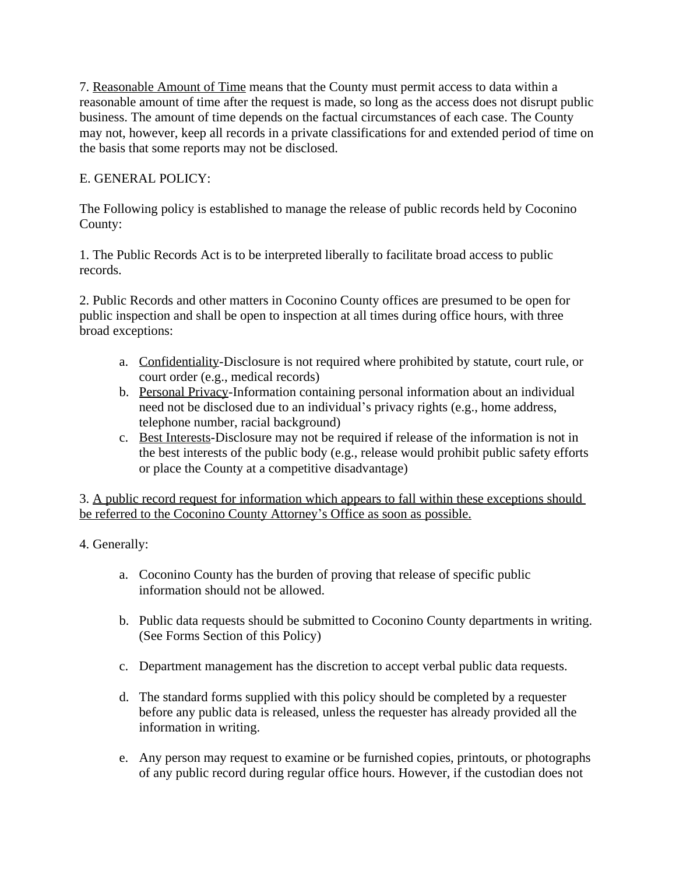7. Reasonable Amount of Time means that the County must permit access to data within a reasonable amount of time after the request is made, so long as the access does not disrupt public business. The amount of time depends on the factual circumstances of each case. The County may not, however, keep all records in a private classifications for and extended period of time on the basis that some reports may not be disclosed.

# E. GENERAL POLICY:

The Following policy is established to manage the release of public records held by Coconino County:

1. The Public Records Act is to be interpreted liberally to facilitate broad access to public records.

2. Public Records and other matters in Coconino County offices are presumed to be open for public inspection and shall be open to inspection at all times during office hours, with three broad exceptions:

- a. Confidentiality-Disclosure is not required where prohibited by statute, court rule, or court order (e.g., medical records)
- b. Personal Privacy-Information containing personal information about an individual need not be disclosed due to an individual's privacy rights (e.g., home address, telephone number, racial background)
- c. Best Interests-Disclosure may not be required if release of the information is not in the best interests of the public body (e.g., release would prohibit public safety efforts or place the County at a competitive disadvantage)

3. A public record request for information which appears to fall within these exceptions should be referred to the Coconino County Attorney's Office as soon as possible.

4. Generally:

- a. Coconino County has the burden of proving that release of specific public information should not be allowed.
- b. Public data requests should be submitted to Coconino County departments in writing. (See Forms Section of this Policy)
- c. Department management has the discretion to accept verbal public data requests.
- d. The standard forms supplied with this policy should be completed by a requester before any public data is released, unless the requester has already provided all the information in writing.
- e. Any person may request to examine or be furnished copies, printouts, or photographs of any public record during regular office hours. However, if the custodian does not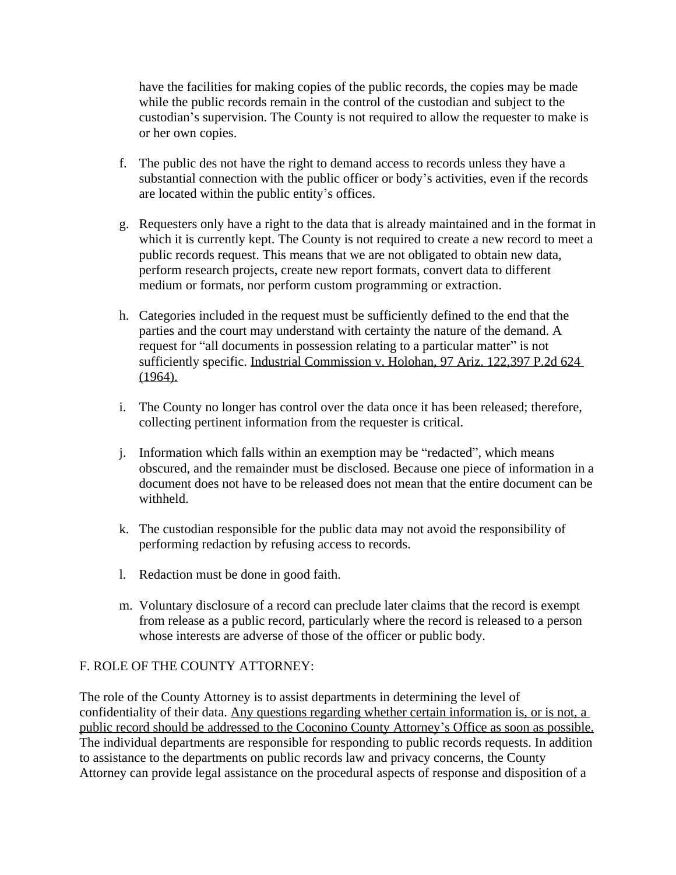have the facilities for making copies of the public records, the copies may be made while the public records remain in the control of the custodian and subject to the custodian's supervision. The County is not required to allow the requester to make is or her own copies.

- f. The public des not have the right to demand access to records unless they have a substantial connection with the public officer or body's activities, even if the records are located within the public entity's offices.
- g. Requesters only have a right to the data that is already maintained and in the format in which it is currently kept. The County is not required to create a new record to meet a public records request. This means that we are not obligated to obtain new data, perform research projects, create new report formats, convert data to different medium or formats, nor perform custom programming or extraction.
- h. Categories included in the request must be sufficiently defined to the end that the parties and the court may understand with certainty the nature of the demand. A request for "all documents in possession relating to a particular matter" is not sufficiently specific. Industrial Commission v. Holohan, 97 Ariz. 122,397 P.2d 624 (1964).
- i. The County no longer has control over the data once it has been released; therefore, collecting pertinent information from the requester is critical.
- j. Information which falls within an exemption may be "redacted", which means obscured, and the remainder must be disclosed. Because one piece of information in a document does not have to be released does not mean that the entire document can be withheld.
- k. The custodian responsible for the public data may not avoid the responsibility of performing redaction by refusing access to records.
- l. Redaction must be done in good faith.
- m. Voluntary disclosure of a record can preclude later claims that the record is exempt from release as a public record, particularly where the record is released to a person whose interests are adverse of those of the officer or public body.

# F. ROLE OF THE COUNTY ATTORNEY:

The role of the County Attorney is to assist departments in determining the level of confidentiality of their data. Any questions regarding whether certain information is, or is not, a public record should be addressed to the Coconino County Attorney's Office as soon as possible. The individual departments are responsible for responding to public records requests. In addition to assistance to the departments on public records law and privacy concerns, the County Attorney can provide legal assistance on the procedural aspects of response and disposition of a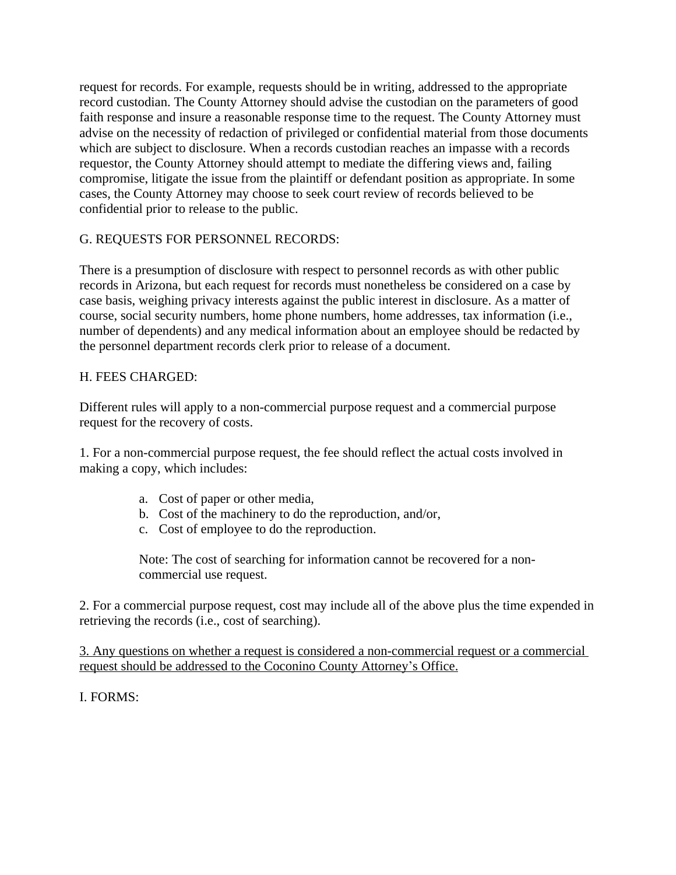request for records. For example, requests should be in writing, addressed to the appropriate record custodian. The County Attorney should advise the custodian on the parameters of good faith response and insure a reasonable response time to the request. The County Attorney must advise on the necessity of redaction of privileged or confidential material from those documents which are subject to disclosure. When a records custodian reaches an impasse with a records requestor, the County Attorney should attempt to mediate the differing views and, failing compromise, litigate the issue from the plaintiff or defendant position as appropriate. In some cases, the County Attorney may choose to seek court review of records believed to be confidential prior to release to the public.

## G. REQUESTS FOR PERSONNEL RECORDS:

There is a presumption of disclosure with respect to personnel records as with other public records in Arizona, but each request for records must nonetheless be considered on a case by case basis, weighing privacy interests against the public interest in disclosure. As a matter of course, social security numbers, home phone numbers, home addresses, tax information (i.e., number of dependents) and any medical information about an employee should be redacted by the personnel department records clerk prior to release of a document.

## H. FEES CHARGED:

Different rules will apply to a non-commercial purpose request and a commercial purpose request for the recovery of costs.

1. For a non-commercial purpose request, the fee should reflect the actual costs involved in making a copy, which includes:

- a. Cost of paper or other media,
- b. Cost of the machinery to do the reproduction, and/or,
- c. Cost of employee to do the reproduction.

Note: The cost of searching for information cannot be recovered for a noncommercial use request.

2. For a commercial purpose request, cost may include all of the above plus the time expended in retrieving the records (i.e., cost of searching).

3. Any questions on whether a request is considered a non-commercial request or a commercial request should be addressed to the Coconino County Attorney's Office.

I. FORMS: